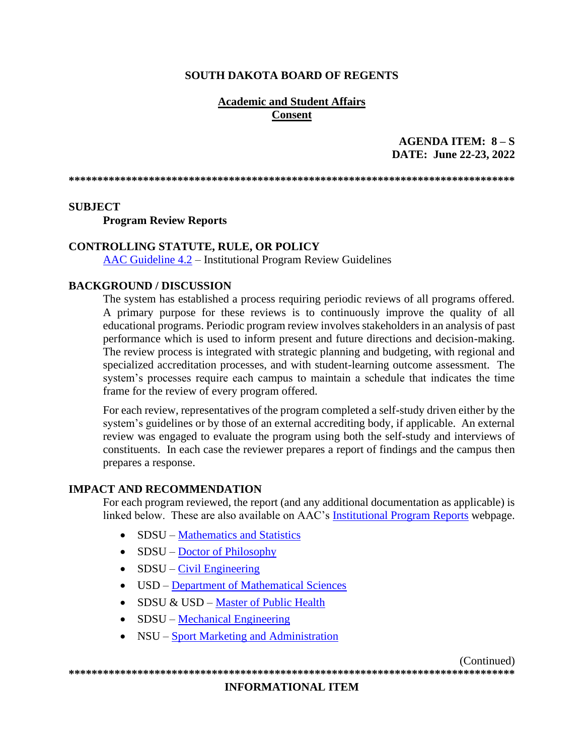### **SOUTH DAKOTA BOARD OF REGENTS**

### **Academic and Student Affairs Consent**

## AGENDA ITEM:  $8-S$ DATE: June 22-23, 2022

#### **SUBJECT**

**Program Review Reports** 

#### **CONTROLLING STATUTE, RULE, OR POLICY**

 $\overline{\text{AAC}}$  Guideline 4.2 – Institutional Program Review Guidelines

#### **BACKGROUND / DISCUSSION**

The system has established a process requiring periodic reviews of all programs offered. A primary purpose for these reviews is to continuously improve the quality of all educational programs. Periodic program review involves stakeholders in an analysis of past performance which is used to inform present and future directions and decision-making. The review process is integrated with strategic planning and budgeting, with regional and specialized accreditation processes, and with student-learning outcome assessment. The system's processes require each campus to maintain a schedule that indicates the time frame for the review of every program offered.

For each review, representatives of the program completed a self-study driven either by the system's guidelines or by those of an external accrediting body, if applicable. An external review was engaged to evaluate the program using both the self-study and interviews of constituents. In each case the reviewer prepares a report of findings and the campus then prepares a response.

#### **IMPACT AND RECOMMENDATION**

For each program reviewed, the report (and any additional documentation as applicable) is linked below. These are also available on AAC's Institutional Program Reports webpage.

- SDSU Mathematics and Statistics
- $SDSU Doctor of Philosophy$
- $\bullet$  SDSU Civil Engineering
- USD Department of Mathematical Sciences
- SDSU & USD Master of Public Health
- $\bullet$  SDSU Mechanical Engineering
- NSU Sport Marketing and Administration

(Continued)

## **INFORMATIONAL ITEM**